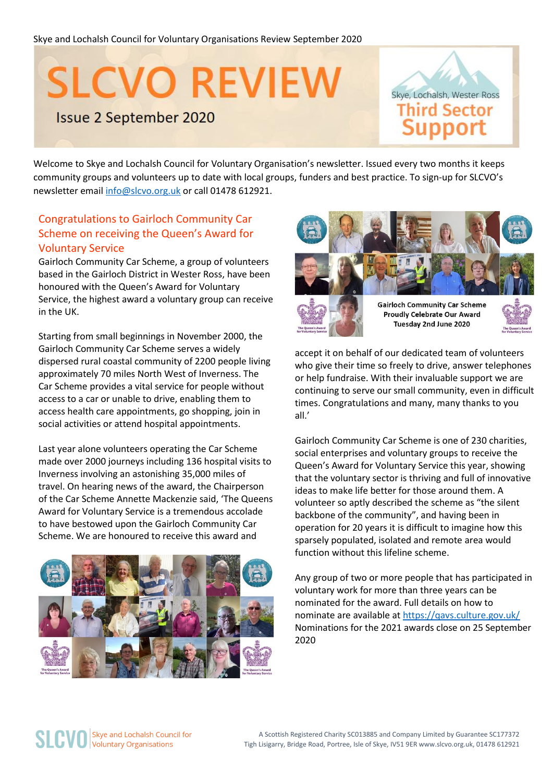# **SLCVO REVIEW**

### **Issue 2 September 2020**



Welcome to Skye and Lochalsh Council for Voluntary Organisation's newsletter. Issued every two months it keeps community groups and volunteers up to date with local groups, funders and best practice. To sign-up for SLCVO's newsletter emai[l info@slcvo.org.uk](mailto:info@slcvo.org.uk) or call 01478 612921.

#### Congratulations to Gairloch Community Car Scheme on receiving the Queen's Award for Voluntary Service

Gairloch Community Car Scheme, a group of volunteers based in the Gairloch District in Wester Ross, have been honoured with the Queen's Award for Voluntary Service, the highest award a voluntary group can receive in the UK.

Starting from small beginnings in November 2000, the Gairloch Community Car Scheme serves a widely dispersed rural coastal community of 2200 people living approximately 70 miles North West of Inverness. The Car Scheme provides a vital service for people without access to a car or unable to drive, enabling them to access health care appointments, go shopping, join in social activities or attend hospital appointments.

Last year alone volunteers operating the Car Scheme made over 2000 journeys including 136 hospital visits to Inverness involving an astonishing 35,000 miles of travel. On hearing news of the award, the Chairperson of the Car Scheme Annette Mackenzie said, 'The Queens Award for Voluntary Service is a tremendous accolade to have bestowed upon the Gairloch Community Car Scheme. We are honoured to receive this award and





accept it on behalf of our dedicated team of volunteers who give their time so freely to drive, answer telephones or help fundraise. With their invaluable support we are continuing to serve our small community, even in difficult times. Congratulations and many, many thanks to you all.'

Gairloch Community Car Scheme is one of 230 charities, social enterprises and voluntary groups to receive the Queen's Award for Voluntary Service this year, showing that the voluntary sector is thriving and full of innovative ideas to make life better for those around them. A volunteer so aptly described the scheme as "the silent backbone of the community", and having been in operation for 20 years it is difficult to imagine how this sparsely populated, isolated and remote area would function without this lifeline scheme.

Any group of two or more people that has participated in voluntary work for more than three years can be nominated for the award. Full details on how to nominate are available a[t https://qavs.culture.gov.uk/](https://qavs.culture.gov.uk/) Nominations for the 2021 awards close on 25 September 2020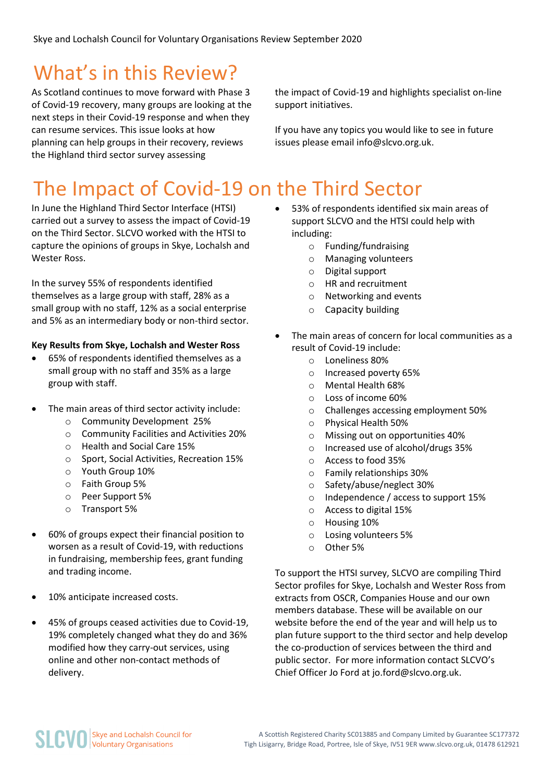# What's in this Review?

As Scotland continues to move forward with Phase 3 of Covid-19 recovery, many groups are looking at the next steps in their Covid-19 response and when they can resume services. This issue looks at how planning can help groups in their recovery, reviews the Highland third sector survey assessing

the impact of Covid-19 and highlights specialist on-line support initiatives.

If you have any topics you would like to see in future issues please email info@slcvo.org.uk.

# The Impact of Covid-19 on the Third Sector

In June the Highland Third Sector Interface (HTSI) carried out a survey to assess the impact of Covid-19 on the Third Sector. SLCVO worked with the HTSI to capture the opinions of groups in Skye, Lochalsh and Wester Ross.

In the survey 55% of respondents identified themselves as a large group with staff, 28% as a small group with no staff, 12% as a social enterprise and 5% as an intermediary body or non-third sector.

#### **Key Results from Skye, Lochalsh and Wester Ross**

- 65% of respondents identified themselves as a small group with no staff and 35% as a large group with staff.
- The main areas of third sector activity include:
	- o Community Development 25%
	- o Community Facilities and Activities 20%
	- o Health and Social Care 15%
	- o Sport, Social Activities, Recreation 15%
	- o Youth Group 10%
	- o Faith Group 5%
	- o Peer Support 5%
	- o Transport 5%
- 60% of groups expect their financial position to worsen as a result of Covid-19, with reductions in fundraising, membership fees, grant funding and trading income.
- 10% anticipate increased costs.
- 45% of groups ceased activities due to Covid-19, 19% completely changed what they do and 36% modified how they carry-out services, using online and other non-contact methods of delivery.
- 53% of respondents identified six main areas of support SLCVO and the HTSI could help with including:
	- o Funding/fundraising
	- o Managing volunteers
	- o Digital support
	- o HR and recruitment
	- o Networking and events
	- o Capacity building
- The main areas of concern for local communities as a result of Covid-19 include:
	- o Loneliness 80%
	- o Increased poverty 65%
	- o Mental Health 68%
	- o Loss of income 60%
	- o Challenges accessing employment 50%
	- o Physical Health 50%
	- o Missing out on opportunities 40%
	- o Increased use of alcohol/drugs 35%
	- o Access to food 35%
	- o Family relationships 30%
	- o Safety/abuse/neglect 30%
	- o Independence / access to support 15%
	- o Access to digital 15%
	- o Housing 10%
	- o Losing volunteers 5%
	- o Other 5%

To support the HTSI survey, SLCVO are compiling Third Sector profiles for Skye, Lochalsh and Wester Ross from extracts from OSCR, Companies House and our own members database. These will be available on our website before the end of the year and will help us to plan future support to the third sector and help develop the co-production of services between the third and public sector. For more information contact SLCVO's Chief Officer Jo Ford at jo.ford@slcvo.org.uk.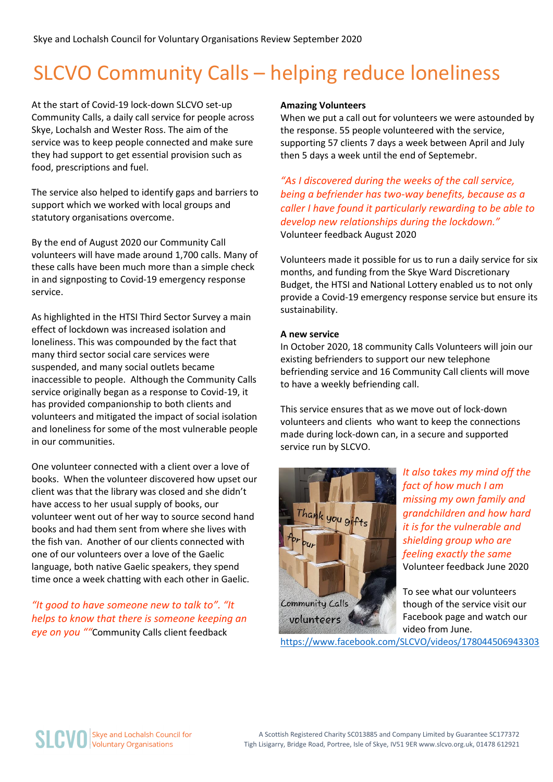# SLCVO Community Calls – helping reduce loneliness

At the start of Covid-19 lock-down SLCVO set-up Community Calls, a daily call service for people across Skye, Lochalsh and Wester Ross. The aim of the service was to keep people connected and make sure they had support to get essential provision such as food, prescriptions and fuel.

The service also helped to identify gaps and barriers to support which we worked with local groups and statutory organisations overcome.

By the end of August 2020 our Community Call volunteers will have made around 1,700 calls. Many of these calls have been much more than a simple check in and signposting to Covid-19 emergency response service.

As highlighted in the HTSI Third Sector Survey a main effect of lockdown was increased isolation and loneliness. This was compounded by the fact that many third sector social care services were suspended, and many social outlets became inaccessible to people. Although the Community Calls service originally began as a response to Covid-19, it has provided companionship to both clients and volunteers and mitigated the impact of social isolation and loneliness for some of the most vulnerable people in our communities.

One volunteer connected with a client over a love of books. When the volunteer discovered how upset our client was that the library was closed and she didn't have access to her usual supply of books, our volunteer went out of her way to source second hand books and had them sent from where she lives with the fish van. Another of our clients connected with one of our volunteers over a love of the Gaelic language, both native Gaelic speakers, they spend time once a week chatting with each other in Gaelic.

#### *"It good to have someone new to talk to". "It helps to know that there is someone keeping an eye on you ""*Community Calls client feedback

#### **Amazing Volunteers**

When we put a call out for volunteers we were astounded by the response. 55 people volunteered with the service, supporting 57 clients 7 days a week between April and July then 5 days a week until the end of Septemebr.

*"As I discovered during the weeks of the call service, being a befriender has two-way benefits, because as a caller I have found it particularly rewarding to be able to develop new relationships during the lockdown."* Volunteer feedback August 2020

Volunteers made it possible for us to run a daily service for six months, and funding from the Skye Ward Discretionary Budget, the HTSI and National Lottery enabled us to not only provide a Covid-19 emergency response service but ensure its sustainability.

#### **A new service**

In October 2020, 18 community Calls Volunteers will join our existing befrienders to support our new telephone befriending service and 16 Community Call clients will move to have a weekly befriending call.

This service ensures that as we move out of lock-down volunteers and clients who want to keep the connections made during lock-down can, in a secure and supported service run by SLCVO.



*It also takes my mind off the fact of how much I am missing my own family and grandchildren and how hard it is for the vulnerable and shielding group who are feeling exactly the same* Volunteer feedback June 2020

To see what our volunteers though of the service visit our Facebook page and watch our video from June.

<https://www.facebook.com/SLCVO/videos/178044506943303>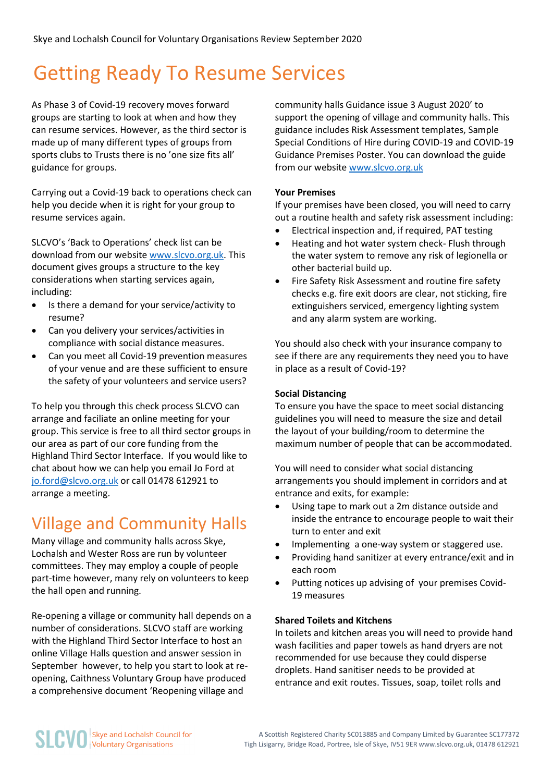## Getting Ready To Resume Services

As Phase 3 of Covid-19 recovery moves forward groups are starting to look at when and how they can resume services. However, as the third sector is made up of many different types of groups from sports clubs to Trusts there is no 'one size fits all' guidance for groups.

Carrying out a Covid-19 back to operations check can help you decide when it is right for your group to resume services again.

SLCVO's 'Back to Operations' check list can be download from our website [www.slcvo.org.uk.](http://www.slcvo.org.uk/) This document gives groups a structure to the key considerations when starting services again, including:

- Is there a demand for your service/activity to resume?
- Can you delivery your services/activities in compliance with social distance measures.
- Can you meet all Covid-19 prevention measures of your venue and are these sufficient to ensure the safety of your volunteers and service users?

To help you through this check process SLCVO can arrange and faciliate an online meeting for your group. This service is free to all third sector groups in our area as part of our core funding from the Highland Third Sector Interface. If you would like to chat about how we can help you email Jo Ford at [jo.ford@slcvo.org.uk](mailto:jo.ford@slcvo.org.uk) or call 01478 612921 to arrange a meeting.

### Village and Community Halls

Many village and community halls across Skye, Lochalsh and Wester Ross are run by volunteer committees. They may employ a couple of people part-time however, many rely on volunteers to keep the hall open and running.

Re-opening a village or community hall depends on a number of considerations. SLCVO staff are working with the Highland Third Sector Interface to host an online Village Halls question and answer session in September however, to help you start to look at reopening, Caithness Voluntary Group have produced a comprehensive document 'Reopening village and

community halls Guidance issue 3 August 2020' to support the opening of village and community halls. This guidance includes Risk Assessment templates, Sample Special Conditions of Hire during COVID-19 and COVID-19 Guidance Premises Poster. You can download the guide from our website [www.slcvo.org.uk](http://www.slcvo.org.uk/)

#### **Your Premises**

If your premises have been closed, you will need to carry out a routine health and safety risk assessment including:

- Electrical inspection and, if required, PAT testing
- Heating and hot water system check- Flush through the water system to remove any risk of legionella or other bacterial build up.
- Fire Safety Risk Assessment and routine fire safety checks e.g. fire exit doors are clear, not sticking, fire extinguishers serviced, emergency lighting system and any alarm system are working.

You should also check with your insurance company to see if there are any requirements they need you to have in place as a result of Covid-19?

#### **Social Distancing**

To ensure you have the space to meet social distancing guidelines you will need to measure the size and detail the layout of your building/room to determine the maximum number of people that can be accommodated.

You will need to consider what social distancing arrangements you should implement in corridors and at entrance and exits, for example:

- Using tape to mark out a 2m distance outside and inside the entrance to encourage people to wait their turn to enter and exit
- Implementing a one-way system or staggered use.
- Providing hand sanitizer at every entrance/exit and in each room
- Putting notices up advising of your premises Covid-19 measures

#### **Shared Toilets and Kitchens**

In toilets and kitchen areas you will need to provide hand wash facilities and paper towels as hand dryers are not recommended for use because they could disperse droplets. Hand sanitiser needs to be provided at entrance and exit routes. Tissues, soap, toilet rolls and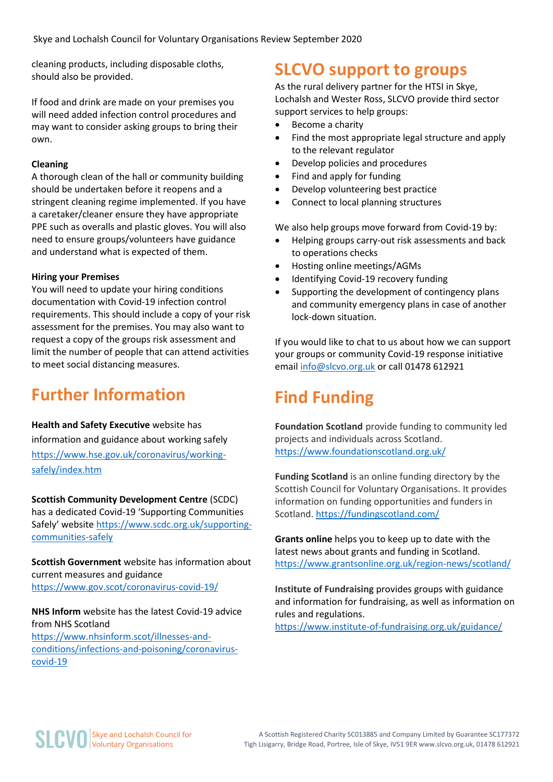cleaning products, including disposable cloths, should also be provided.

If food and drink are made on your premises you will need added infection control procedures and may want to consider asking groups to bring their own.

#### **Cleaning**

A thorough clean of the hall or community building should be undertaken before it reopens and a stringent cleaning regime implemented. If you have a caretaker/cleaner ensure they have appropriate PPE such as overalls and plastic gloves. You will also need to ensure groups/volunteers have guidance and understand what is expected of them.

#### **Hiring your Premises**

You will need to update your hiring conditions documentation with Covid-19 infection control requirements. This should include a copy of your risk assessment for the premises. You may also want to request a copy of the groups risk assessment and limit the number of people that can attend activities to meet social distancing measures.

### **Further Information**

**Health and Safety Executive** website has information and guidance about working safely [https://www.hse.gov.uk/coronavirus/working](https://www.hse.gov.uk/coronavirus/working-safely/index.htm)[safely/index.htm](https://www.hse.gov.uk/coronavirus/working-safely/index.htm)

**Scottish Community Development Centre** (SCDC) has a dedicated Covid-19 'Supporting Communities Safely' website [https://www.scdc.org.uk/supporting](https://www.scdc.org.uk/supporting-communities-safely)[communities-safely](https://www.scdc.org.uk/supporting-communities-safely) 

**Scottish Government** website has information about current measures and guidance <https://www.gov.scot/coronavirus-covid-19/>

**NHS Inform** website has the latest Covid-19 advice from NHS Scotland [https://www.nhsinform.scot/illnesses-and](https://www.nhsinform.scot/illnesses-and-conditions/infections-and-poisoning/coronavirus-covid-19)[conditions/infections-and-poisoning/coronavirus](https://www.nhsinform.scot/illnesses-and-conditions/infections-and-poisoning/coronavirus-covid-19)[covid-19](https://www.nhsinform.scot/illnesses-and-conditions/infections-and-poisoning/coronavirus-covid-19)

### **SLCVO support to groups**

As the rural delivery partner for the HTSI in Skye, Lochalsh and Wester Ross, SLCVO provide third sector support services to help groups:

- Become a charity
- Find the most appropriate legal structure and apply to the relevant regulator
- Develop policies and procedures
- Find and apply for funding
- Develop volunteering best practice
- Connect to local planning structures

We also help groups move forward from Covid-19 by:

- Helping groups carry-out risk assessments and back to operations checks
- Hosting online meetings/AGMs
- Identifying Covid-19 recovery funding
- Supporting the development of contingency plans and community emergency plans in case of another lock-down situation.

If you would like to chat to us about how we can support your groups or community Covid-19 response initiative email [info@slcvo.org.uk](mailto:info@slcvo.org.uk) or call 01478 612921

### **Find Funding**

**Foundation Scotland** provide funding to community led projects and individuals across Scotland. <https://www.foundationscotland.org.uk/>

**Funding Scotland** is an online funding directory by the Scottish Council for Voluntary Organisations. It provides information on funding opportunities and funders in Scotland.<https://fundingscotland.com/>

**Grants online** helps you to keep up to date with the latest news about grants and funding in Scotland. <https://www.grantsonline.org.uk/region-news/scotland/>

**Institute of Fundraising** provides groups with guidance and information for fundraising, as well as information on rules and regulations.

<https://www.institute-of-fundraising.org.uk/guidance/>